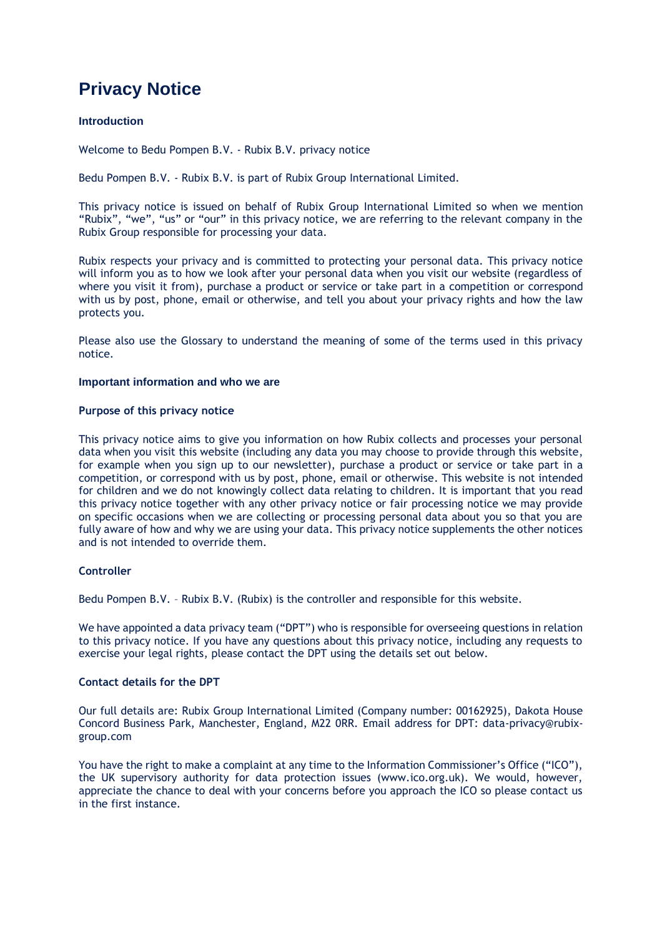# **Privacy Notice**

# **Introduction**

Welcome to Bedu Pompen B.V. - Rubix B.V. privacy notice

Bedu Pompen B.V. - Rubix B.V. is part of Rubix Group International Limited.

This privacy notice is issued on behalf of Rubix Group International Limited so when we mention "Rubix", "we", "us" or "our" in this privacy notice, we are referring to the relevant company in the Rubix Group responsible for processing your data.

Rubix respects your privacy and is committed to protecting your personal data. This privacy notice will inform you as to how we look after your personal data when you visit our website (regardless of where you visit it from), purchase a product or service or take part in a competition or correspond with us by post, phone, email or otherwise, and tell you about your privacy rights and how the law protects you.

Please also use the Glossary to understand the meaning of some of the terms used in this privacy notice.

## **Important information and who we are**

## **Purpose of this privacy notice**

This privacy notice aims to give you information on how Rubix collects and processes your personal data when you visit this website (including any data you may choose to provide through this website, for example when you sign up to our newsletter), purchase a product or service or take part in a competition, or correspond with us by post, phone, email or otherwise. This website is not intended for children and we do not knowingly collect data relating to children. It is important that you read this privacy notice together with any other privacy notice or fair processing notice we may provide on specific occasions when we are collecting or processing personal data about you so that you are fully aware of how and why we are using your data. This privacy notice supplements the other notices and is not intended to override them.

## **Controller**

Bedu Pompen B.V. – Rubix B.V. (Rubix) is the controller and responsible for this website.

We have appointed a data privacy team ("DPT") who is responsible for overseeing questions in relation to this privacy notice. If you have any questions about this privacy notice, including any requests to exercise your legal rights, please contact the DPT using the details set out below.

# **Contact details for the DPT**

Our full details are: Rubix Group International Limited (Company number: 00162925), Dakota House Concord Business Park, Manchester, England, M22 0RR. Email address for DPT: data-privacy@rubixgroup.com

You have the right to make a complaint at any time to the Information Commissioner's Office ("ICO"), the UK supervisory authority for data protection issues (www.ico.org.uk). We would, however, appreciate the chance to deal with your concerns before you approach the ICO so please contact us in the first instance.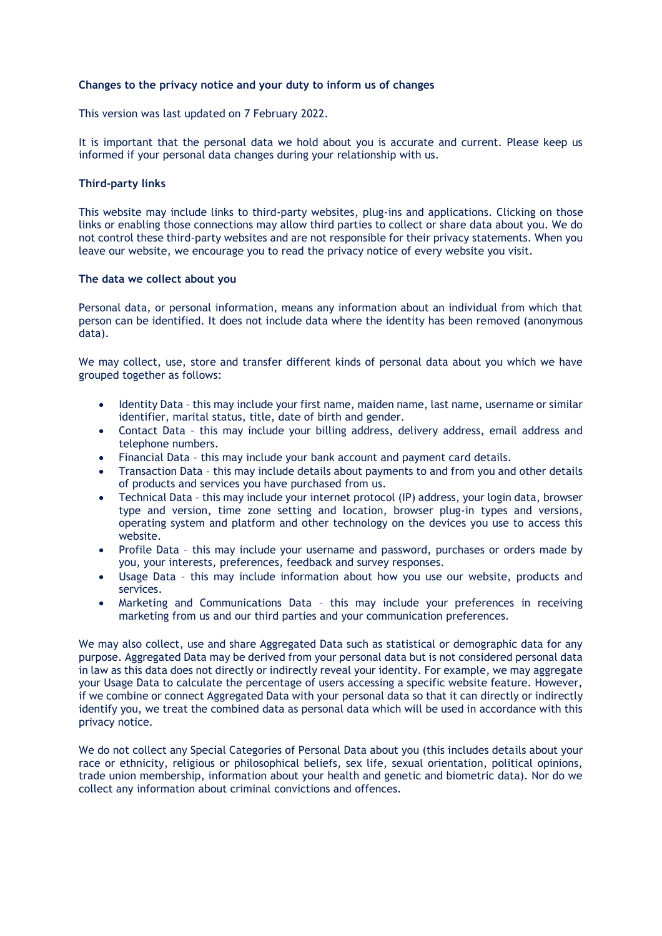# **Changes to the privacy notice and your duty to inform us of changes**

This version was last updated on 7 February 2022.

It is important that the personal data we hold about you is accurate and current. Please keep us informed if your personal data changes during your relationship with us.

## **Third-party links**

This website may include links to third-party websites, plug-ins and applications. Clicking on those links or enabling those connections may allow third parties to collect or share data about you. We do not control these third-party websites and are not responsible for their privacy statements. When you leave our website, we encourage you to read the privacy notice of every website you visit.

## **The data we collect about you**

Personal data, or personal information, means any information about an individual from which that person can be identified. It does not include data where the identity has been removed (anonymous data).

We may collect, use, store and transfer different kinds of personal data about you which we have grouped together as follows:

- Identity Data this may include your first name, maiden name, last name, username or similar identifier, marital status, title, date of birth and gender.
- Contact Data this may include your billing address, delivery address, email address and telephone numbers.
- Financial Data this may include your bank account and payment card details.
- Transaction Data this may include details about payments to and from you and other details of products and services you have purchased from us.
- Technical Data this may include your internet protocol (IP) address, your login data, browser type and version, time zone setting and location, browser plug-in types and versions, operating system and platform and other technology on the devices you use to access this website.
- Profile Data this may include your username and password, purchases or orders made by you, your interests, preferences, feedback and survey responses.
- Usage Data this may include information about how you use our website, products and services.
- Marketing and Communications Data this may include your preferences in receiving marketing from us and our third parties and your communication preferences.

We may also collect, use and share Aggregated Data such as statistical or demographic data for any purpose. Aggregated Data may be derived from your personal data but is not considered personal data in law as this data does not directly or indirectly reveal your identity. For example, we may aggregate your Usage Data to calculate the percentage of users accessing a specific website feature. However, if we combine or connect Aggregated Data with your personal data so that it can directly or indirectly identify you, we treat the combined data as personal data which will be used in accordance with this privacy notice.

We do not collect any Special Categories of Personal Data about you (this includes details about your race or ethnicity, religious or philosophical beliefs, sex life, sexual orientation, political opinions, trade union membership, information about your health and genetic and biometric data). Nor do we collect any information about criminal convictions and offences.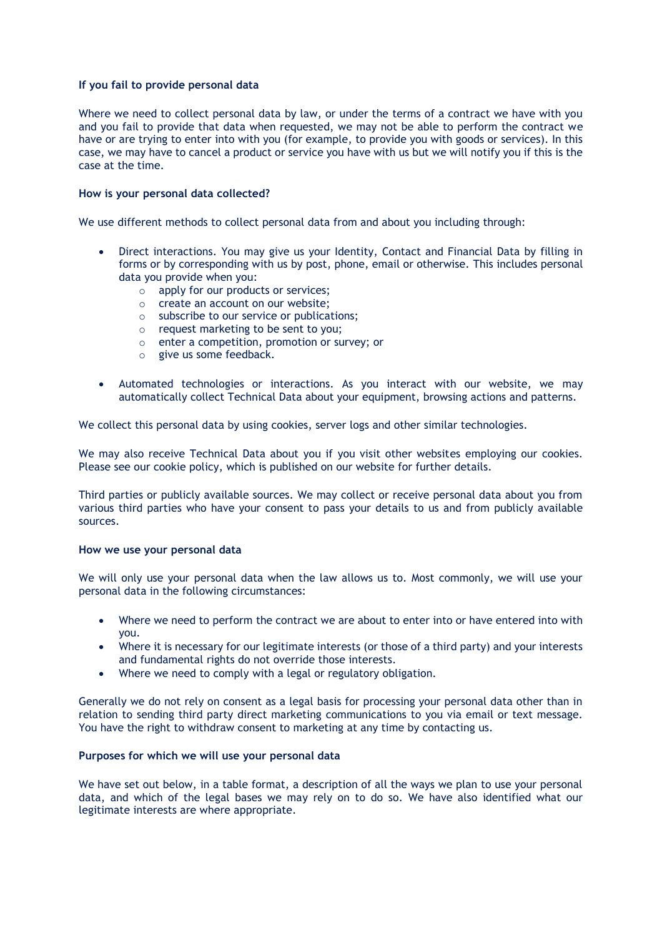## **If you fail to provide personal data**

Where we need to collect personal data by law, or under the terms of a contract we have with you and you fail to provide that data when requested, we may not be able to perform the contract we have or are trying to enter into with you (for example, to provide you with goods or services). In this case, we may have to cancel a product or service you have with us but we will notify you if this is the case at the time.

## **How is your personal data collected?**

We use different methods to collect personal data from and about you including through:

- Direct interactions. You may give us your Identity, Contact and Financial Data by filling in forms or by corresponding with us by post, phone, email or otherwise. This includes personal data you provide when you:
	- o apply for our products or services;
	- o create an account on our website;
	- o subscribe to our service or publications;
	- o request marketing to be sent to you;
	- o enter a competition, promotion or survey; or
	- o give us some feedback.
- Automated technologies or interactions. As you interact with our website, we may automatically collect Technical Data about your equipment, browsing actions and patterns.

We collect this personal data by using cookies, server logs and other similar technologies.

We may also receive Technical Data about you if you visit other websites employing our cookies. Please see our cookie policy, which is published on our website for further details.

Third parties or publicly available sources. We may collect or receive personal data about you from various third parties who have your consent to pass your details to us and from publicly available sources.

## **How we use your personal data**

We will only use your personal data when the law allows us to. Most commonly, we will use your personal data in the following circumstances:

- Where we need to perform the contract we are about to enter into or have entered into with you.
- Where it is necessary for our legitimate interests (or those of a third party) and your interests and fundamental rights do not override those interests.
- Where we need to comply with a legal or regulatory obligation.

Generally we do not rely on consent as a legal basis for processing your personal data other than in relation to sending third party direct marketing communications to you via email or text message. You have the right to withdraw consent to marketing at any time by contacting us.

## **Purposes for which we will use your personal data**

We have set out below, in a table format, a description of all the ways we plan to use your personal data, and which of the legal bases we may rely on to do so. We have also identified what our legitimate interests are where appropriate.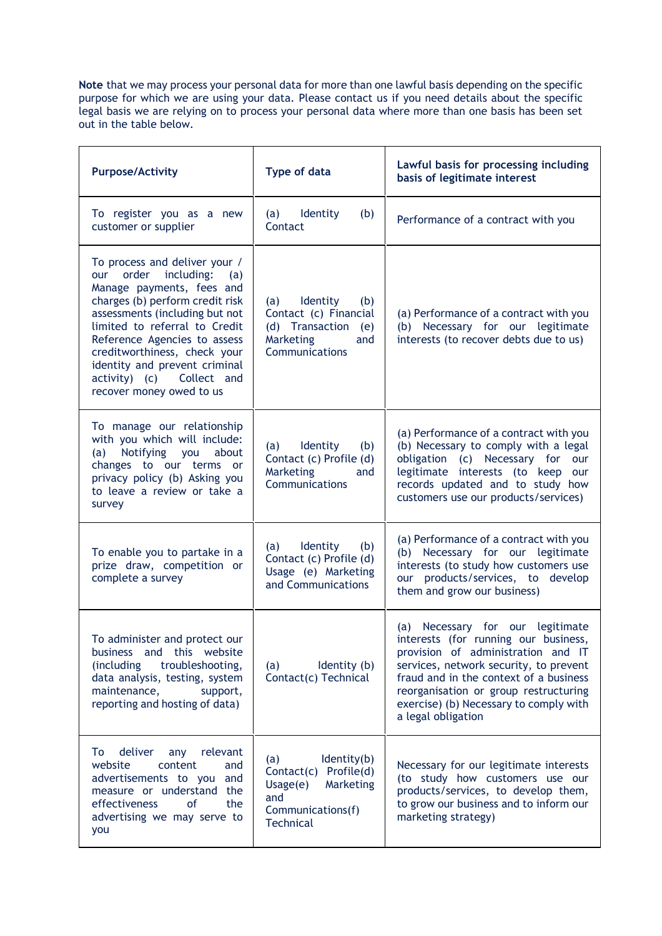**Note** that we may process your personal data for more than one lawful basis depending on the specific purpose for which we are using your data. Please contact us if you need details about the specific legal basis we are relying on to process your personal data where more than one basis has been set out in the table below.

| <b>Purpose/Activity</b>                                                                                                                                                                                                                                                                                                                                   | Type of data                                                                                                         | Lawful basis for processing including<br>basis of legitimate interest                                                                                                                                                                                                                                       |
|-----------------------------------------------------------------------------------------------------------------------------------------------------------------------------------------------------------------------------------------------------------------------------------------------------------------------------------------------------------|----------------------------------------------------------------------------------------------------------------------|-------------------------------------------------------------------------------------------------------------------------------------------------------------------------------------------------------------------------------------------------------------------------------------------------------------|
| To register you as a new<br>customer or supplier                                                                                                                                                                                                                                                                                                          | (a) Identity<br>(b)<br>Contact                                                                                       | Performance of a contract with you                                                                                                                                                                                                                                                                          |
| To process and deliver your /<br>our order including:<br>(a)<br>Manage payments, fees and<br>charges (b) perform credit risk<br>assessments (including but not<br>limited to referral to Credit<br>Reference Agencies to assess<br>creditworthiness, check your<br>identity and prevent criminal<br>activity) (c) Collect and<br>recover money owed to us | Identity<br>(b)<br>(a)<br>Contact (c) Financial<br>(d) Transaction<br>(e)<br>Marketing<br>and<br>Communications      | (a) Performance of a contract with you<br>(b) Necessary for our legitimate<br>interests (to recover debts due to us)                                                                                                                                                                                        |
| To manage our relationship<br>with you which will include:<br>(a) Notifying you<br>about<br>changes to our terms or<br>privacy policy (b) Asking you<br>to leave a review or take a<br>survey                                                                                                                                                             | Identity<br>(a)<br>(b)<br>Contact (c) Profile (d)<br>Marketing<br>and<br>Communications                              | (a) Performance of a contract with you<br>(b) Necessary to comply with a legal<br>obligation (c) Necessary for<br>our<br>legitimate interests (to keep our<br>records updated and to study how<br>customers use our products/services)                                                                      |
| To enable you to partake in a<br>prize draw, competition or<br>complete a survey                                                                                                                                                                                                                                                                          | Identity<br>(b)<br>(a)<br>Contact (c) Profile (d)<br>Usage (e) Marketing<br>and Communications                       | (a) Performance of a contract with you<br>(b) Necessary for our legitimate<br>interests (to study how customers use<br>our products/services, to develop<br>them and grow our business)                                                                                                                     |
| To administer and protect our<br>business and this website<br>troubleshooting,<br>(including)<br>data analysis, testing, system<br>maintenance,<br>support,<br>reporting and hosting of data)                                                                                                                                                             | Identity (b)<br>(a)<br>Contact(c) Technical                                                                          | (a) Necessary for our legitimate<br>interests (for running our business,<br>provision of administration and IT<br>services, network security, to prevent<br>fraud and in the context of a business<br>reorganisation or group restructuring<br>exercise) (b) Necessary to comply with<br>a legal obligation |
| deliver<br>relevant<br>To<br>any<br>website<br>content<br>and<br>advertisements to you<br>and<br>measure or understand the<br>effectiveness<br><sub>of</sub><br>the<br>advertising we may serve to<br>you                                                                                                                                                 | (a)<br>Identity(b)<br>Contact(c) Profile(d)<br>Marketing<br>Usage(e)<br>and<br>Communications(f)<br><b>Technical</b> | Necessary for our legitimate interests<br>(to study how customers use our<br>products/services, to develop them,<br>to grow our business and to inform our<br>marketing strategy)                                                                                                                           |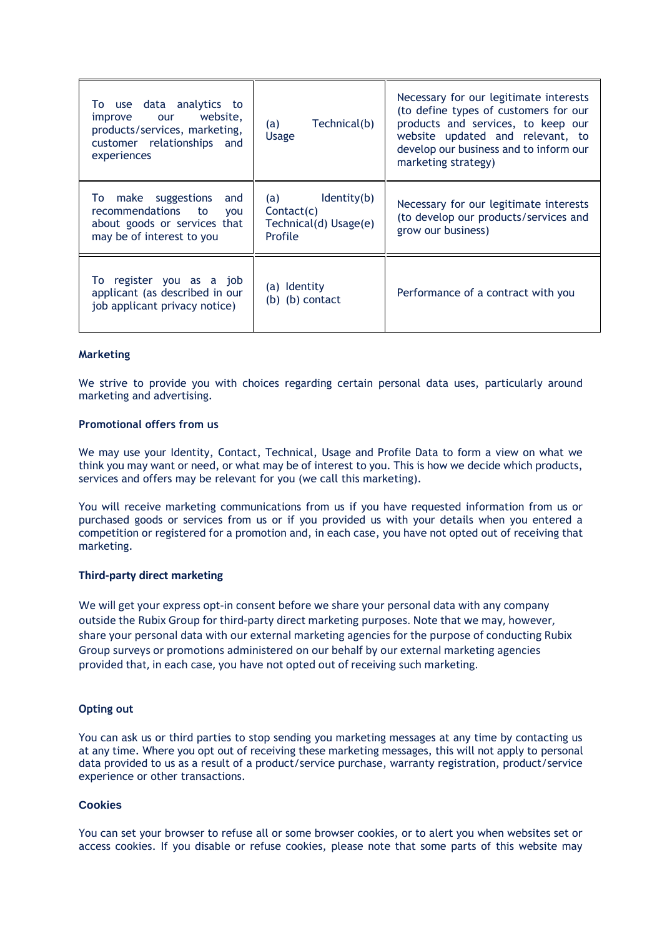| To use data analytics to<br>improve our website,<br>products/services, marketing,<br>customer relationships and<br>experiences | Technical(b)<br>(a)<br><b>Usage</b>                                  | Necessary for our legitimate interests<br>(to define types of customers for our<br>products and services, to keep our<br>website updated and relevant, to<br>develop our business and to inform our<br>marketing strategy) |
|--------------------------------------------------------------------------------------------------------------------------------|----------------------------------------------------------------------|----------------------------------------------------------------------------------------------------------------------------------------------------------------------------------------------------------------------------|
| To make suggestions<br>and<br>recommendations to<br><b>VOU</b><br>about goods or services that<br>may be of interest to you    | Identity(b)<br>(a)<br>Context(c)<br>Technical(d) Usage(e)<br>Profile | Necessary for our legitimate interests<br>(to develop our products/services and<br>grow our business)                                                                                                                      |
| To register you as a job<br>applicant (as described in our<br>job applicant privacy notice)                                    | (a) Identity<br>(b) (b) contact                                      | Performance of a contract with you                                                                                                                                                                                         |

## **Marketing**

We strive to provide you with choices regarding certain personal data uses, particularly around marketing and advertising.

## **Promotional offers from us**

We may use your Identity, Contact, Technical, Usage and Profile Data to form a view on what we think you may want or need, or what may be of interest to you. This is how we decide which products, services and offers may be relevant for you (we call this marketing).

You will receive marketing communications from us if you have requested information from us or purchased goods or services from us or if you provided us with your details when you entered a competition or registered for a promotion and, in each case, you have not opted out of receiving that marketing.

## **Third-party direct marketing**

We will get your express opt-in consent before we share your personal data with any company outside the Rubix Group for third-party direct marketing purposes. Note that we may, however, share your personal data with our external marketing agencies for the purpose of conducting Rubix Group surveys or promotions administered on our behalf by our external marketing agencies provided that, in each case, you have not opted out of receiving such marketing.

## **Opting out**

You can ask us or third parties to stop sending you marketing messages at any time by contacting us at any time. Where you opt out of receiving these marketing messages, this will not apply to personal data provided to us as a result of a product/service purchase, warranty registration, product/service experience or other transactions.

## **Cookies**

You can set your browser to refuse all or some browser cookies, or to alert you when websites set or access cookies. If you disable or refuse cookies, please note that some parts of this website may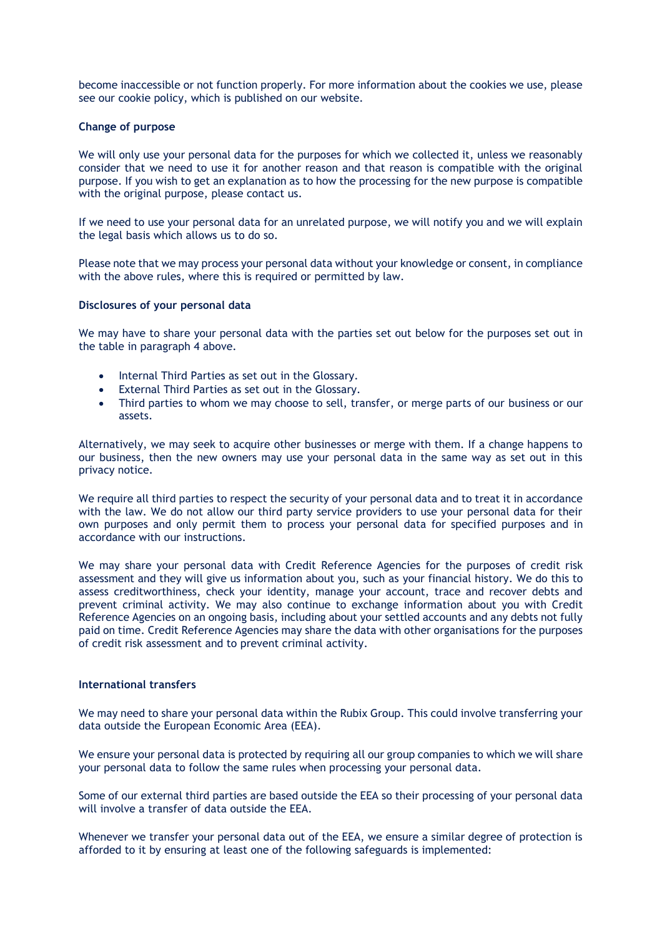become inaccessible or not function properly. For more information about the cookies we use, please see our cookie policy, which is published on our website.

#### **Change of purpose**

We will only use your personal data for the purposes for which we collected it, unless we reasonably consider that we need to use it for another reason and that reason is compatible with the original purpose. If you wish to get an explanation as to how the processing for the new purpose is compatible with the original purpose, please contact us.

If we need to use your personal data for an unrelated purpose, we will notify you and we will explain the legal basis which allows us to do so.

Please note that we may process your personal data without your knowledge or consent, in compliance with the above rules, where this is required or permitted by law.

#### **Disclosures of your personal data**

We may have to share your personal data with the parties set out below for the purposes set out in the table in paragraph 4 above.

- Internal Third Parties as set out in the Glossary.
- **External Third Parties as set out in the Glossary.**
- Third parties to whom we may choose to sell, transfer, or merge parts of our business or our assets.

Alternatively, we may seek to acquire other businesses or merge with them. If a change happens to our business, then the new owners may use your personal data in the same way as set out in this privacy notice.

We require all third parties to respect the security of your personal data and to treat it in accordance with the law. We do not allow our third party service providers to use your personal data for their own purposes and only permit them to process your personal data for specified purposes and in accordance with our instructions.

We may share your personal data with Credit Reference Agencies for the purposes of credit risk assessment and they will give us information about you, such as your financial history. We do this to assess creditworthiness, check your identity, manage your account, trace and recover debts and prevent criminal activity. We may also continue to exchange information about you with Credit Reference Agencies on an ongoing basis, including about your settled accounts and any debts not fully paid on time. Credit Reference Agencies may share the data with other organisations for the purposes of credit risk assessment and to prevent criminal activity.

#### **International transfers**

We may need to share your personal data within the Rubix Group. This could involve transferring your data outside the European Economic Area (EEA).

We ensure your personal data is protected by requiring all our group companies to which we will share your personal data to follow the same rules when processing your personal data.

Some of our external third parties are based outside the EEA so their processing of your personal data will involve a transfer of data outside the EEA.

Whenever we transfer your personal data out of the EEA, we ensure a similar degree of protection is afforded to it by ensuring at least one of the following safeguards is implemented: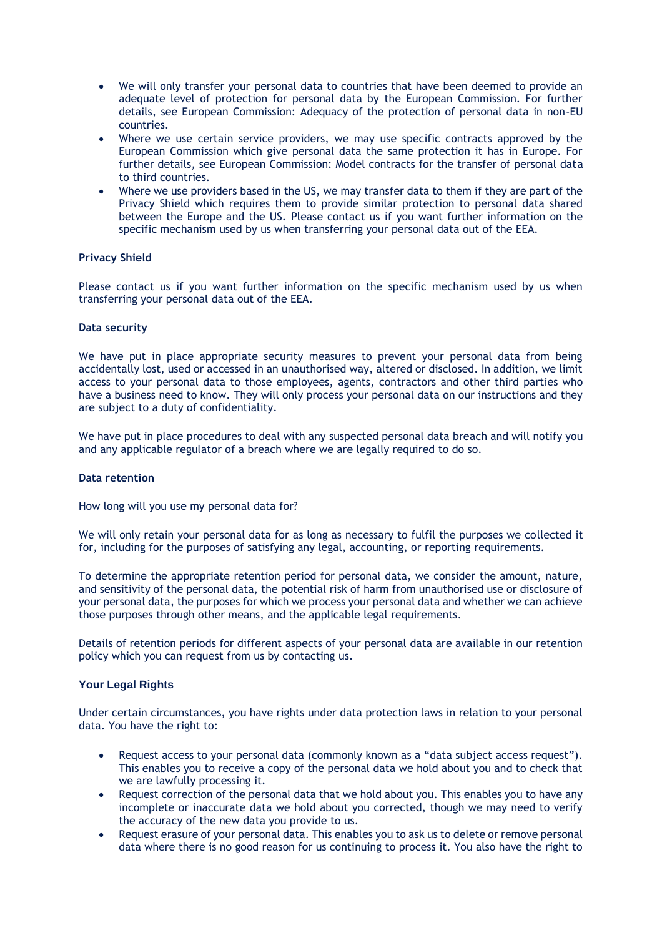- We will only transfer your personal data to countries that have been deemed to provide an adequate level of protection for personal data by the European Commission. For further details, see European Commission: Adequacy of the protection of personal data in non-EU countries.
- Where we use certain service providers, we may use specific contracts approved by the European Commission which give personal data the same protection it has in Europe. For further details, see European Commission: Model contracts for the transfer of personal data to third countries.
- Where we use providers based in the US, we may transfer data to them if they are part of the Privacy Shield which requires them to provide similar protection to personal data shared between the Europe and the US. Please contact us if you want further information on the specific mechanism used by us when transferring your personal data out of the EEA.

# **Privacy Shield**

Please contact us if you want further information on the specific mechanism used by us when transferring your personal data out of the EEA.

## **Data security**

We have put in place appropriate security measures to prevent your personal data from being accidentally lost, used or accessed in an unauthorised way, altered or disclosed. In addition, we limit access to your personal data to those employees, agents, contractors and other third parties who have a business need to know. They will only process your personal data on our instructions and they are subject to a duty of confidentiality.

We have put in place procedures to deal with any suspected personal data breach and will notify you and any applicable regulator of a breach where we are legally required to do so.

#### **Data retention**

How long will you use my personal data for?

We will only retain your personal data for as long as necessary to fulfil the purposes we collected it for, including for the purposes of satisfying any legal, accounting, or reporting requirements.

To determine the appropriate retention period for personal data, we consider the amount, nature, and sensitivity of the personal data, the potential risk of harm from unauthorised use or disclosure of your personal data, the purposes for which we process your personal data and whether we can achieve those purposes through other means, and the applicable legal requirements.

Details of retention periods for different aspects of your personal data are available in our retention policy which you can request from us by contacting us.

## **Your Legal Rights**

Under certain circumstances, you have rights under data protection laws in relation to your personal data. You have the right to:

- Request access to your personal data (commonly known as a "data subject access request"). This enables you to receive a copy of the personal data we hold about you and to check that we are lawfully processing it.
- Request correction of the personal data that we hold about you. This enables you to have any incomplete or inaccurate data we hold about you corrected, though we may need to verify the accuracy of the new data you provide to us.
- Request erasure of your personal data. This enables you to ask us to delete or remove personal data where there is no good reason for us continuing to process it. You also have the right to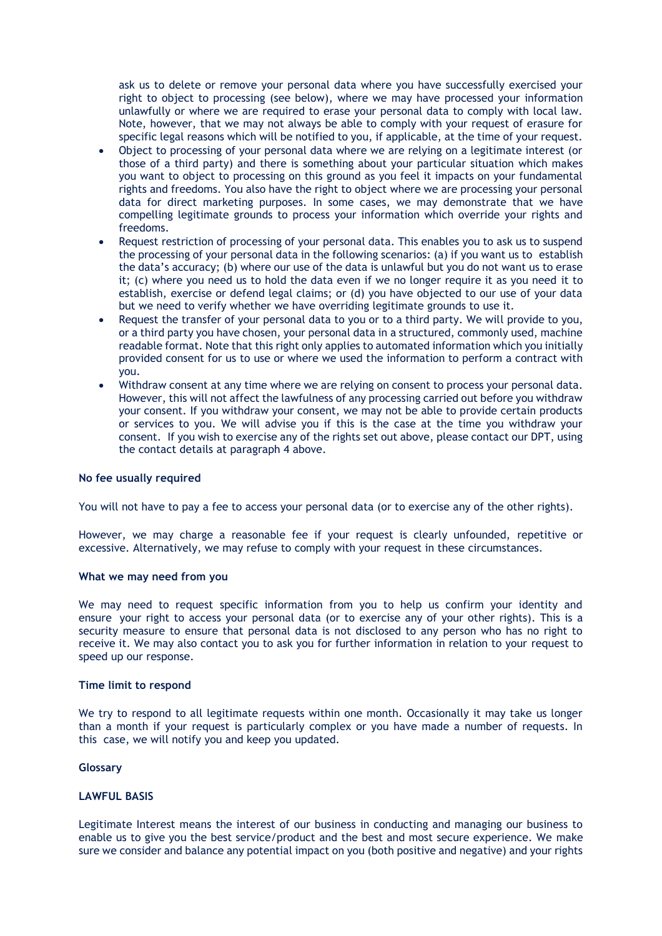ask us to delete or remove your personal data where you have successfully exercised your right to object to processing (see below), where we may have processed your information unlawfully or where we are required to erase your personal data to comply with local law. Note, however, that we may not always be able to comply with your request of erasure for specific legal reasons which will be notified to you, if applicable, at the time of your request.

- Object to processing of your personal data where we are relying on a legitimate interest (or those of a third party) and there is something about your particular situation which makes you want to object to processing on this ground as you feel it impacts on your fundamental rights and freedoms. You also have the right to object where we are processing your personal data for direct marketing purposes. In some cases, we may demonstrate that we have compelling legitimate grounds to process your information which override your rights and freedoms.
- Request restriction of processing of your personal data. This enables you to ask us to suspend the processing of your personal data in the following scenarios: (a) if you want us to establish the data's accuracy; (b) where our use of the data is unlawful but you do not want us to erase it; (c) where you need us to hold the data even if we no longer require it as you need it to establish, exercise or defend legal claims; or (d) you have objected to our use of your data but we need to verify whether we have overriding legitimate grounds to use it.
- Request the transfer of your personal data to you or to a third party. We will provide to you, or a third party you have chosen, your personal data in a structured, commonly used, machine readable format. Note that this right only applies to automated information which you initially provided consent for us to use or where we used the information to perform a contract with you.
- Withdraw consent at any time where we are relying on consent to process your personal data. However, this will not affect the lawfulness of any processing carried out before you withdraw your consent. If you withdraw your consent, we may not be able to provide certain products or services to you. We will advise you if this is the case at the time you withdraw your consent. If you wish to exercise any of the rights set out above, please contact our DPT, using the contact details at paragraph 4 above.

#### **No fee usually required**

You will not have to pay a fee to access your personal data (or to exercise any of the other rights).

However, we may charge a reasonable fee if your request is clearly unfounded, repetitive or excessive. Alternatively, we may refuse to comply with your request in these circumstances.

#### **What we may need from you**

We may need to request specific information from you to help us confirm your identity and ensure your right to access your personal data (or to exercise any of your other rights). This is a security measure to ensure that personal data is not disclosed to any person who has no right to receive it. We may also contact you to ask you for further information in relation to your request to speed up our response.

#### **Time limit to respond**

We try to respond to all legitimate requests within one month. Occasionally it may take us longer than a month if your request is particularly complex or you have made a number of requests. In this case, we will notify you and keep you updated.

## **Glossary**

# **LAWFUL BASIS**

Legitimate Interest means the interest of our business in conducting and managing our business to enable us to give you the best service/product and the best and most secure experience. We make sure we consider and balance any potential impact on you (both positive and negative) and your rights